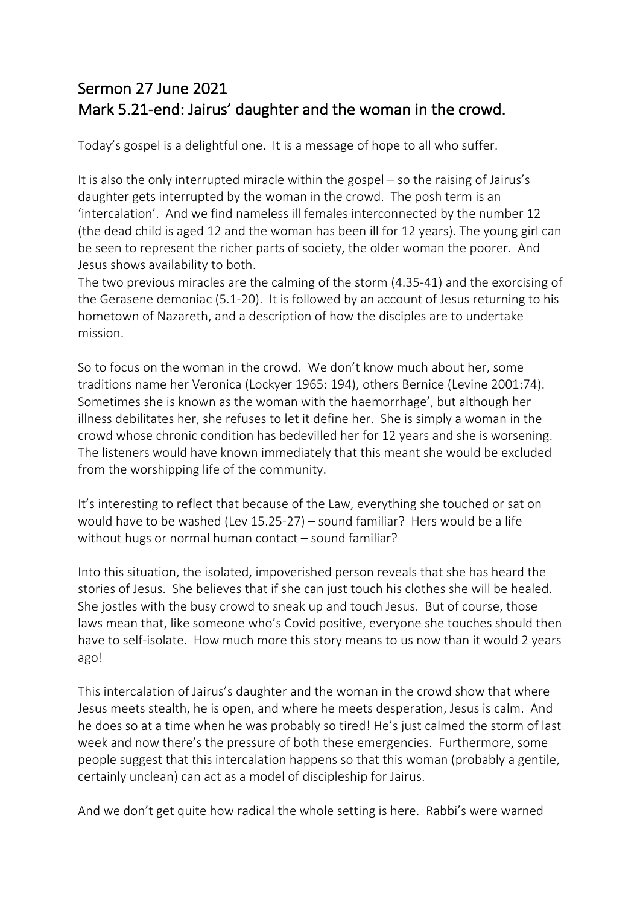## Sermon 27 June 2021 Mark 5.21-end: Jairus' daughter and the woman in the crowd.

Today's gospel is a delightful one. It is a message of hope to all who suffer.

It is also the only interrupted miracle within the gospel – so the raising of Jairus's daughter gets interrupted by the woman in the crowd. The posh term is an 'intercalation'. And we find nameless ill females interconnected by the number 12 (the dead child is aged 12 and the woman has been ill for 12 years). The young girl can be seen to represent the richer parts of society, the older woman the poorer. And Jesus shows availability to both.

The two previous miracles are the calming of the storm (4.35-41) and the exorcising of the Gerasene demoniac (5.1-20). It is followed by an account of Jesus returning to his hometown of Nazareth, and a description of how the disciples are to undertake mission.

So to focus on the woman in the crowd. We don't know much about her, some traditions name her Veronica (Lockyer 1965: 194), others Bernice (Levine 2001:74). Sometimes she is known as the woman with the haemorrhage', but although her illness debilitates her, she refuses to let it define her. She is simply a woman in the crowd whose chronic condition has bedevilled her for 12 years and she is worsening. The listeners would have known immediately that this meant she would be excluded from the worshipping life of the community.

It's interesting to reflect that because of the Law, everything she touched or sat on would have to be washed (Lev 15.25-27) – sound familiar? Hers would be a life without hugs or normal human contact – sound familiar?

Into this situation, the isolated, impoverished person reveals that she has heard the stories of Jesus. She believes that if she can just touch his clothes she will be healed. She jostles with the busy crowd to sneak up and touch Jesus. But of course, those laws mean that, like someone who's Covid positive, everyone she touches should then have to self-isolate. How much more this story means to us now than it would 2 years ago!

This intercalation of Jairus's daughter and the woman in the crowd show that where Jesus meets stealth, he is open, and where he meets desperation, Jesus is calm. And he does so at a time when he was probably so tired! He's just calmed the storm of last week and now there's the pressure of both these emergencies. Furthermore, some people suggest that this intercalation happens so that this woman (probably a gentile, certainly unclean) can act as a model of discipleship for Jairus.

And we don't get quite how radical the whole setting is here. Rabbi's were warned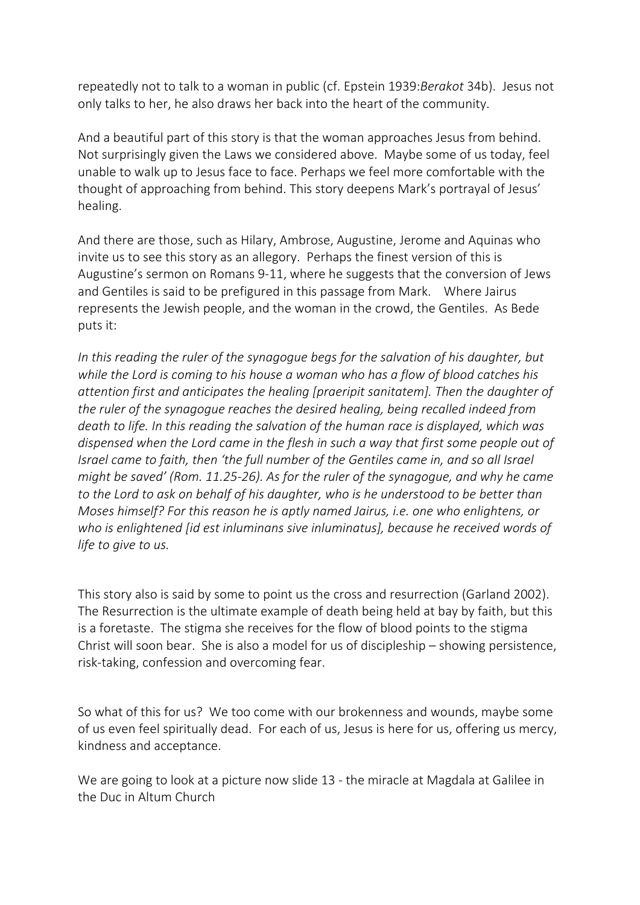repeatedly not to talk to a woman in public (cf. Epstein 1939:*Berakot* 34b). Jesus not only talks to her, he also draws her back into the heart of the community.

And a beautiful part of this story is that the woman approaches Jesus from behind. Not surprisingly given the Laws we considered above. Maybe some of us today, feel unable to walk up to Jesus face to face. Perhaps we feel more comfortable with the thought of approaching from behind. This story deepens Mark's portrayal of Jesus' healing.

And there are those, such as Hilary, Ambrose, Augustine, Jerome and Aquinas who invite us to see this story as an allegory. Perhaps the finest version of this is Augustine's sermon on Romans 9-11, where he suggests that the conversion of Jews and Gentiles is said to be prefigured in this passage from Mark. Where Jairus represents the Jewish people, and the woman in the crowd, the Gentiles. As Bede puts it:

*In this reading the ruler of the synagogue begs for the salvation of his daughter, but while the Lord is coming to his house a woman who has a flow of blood catches his attention first and anticipates the healing [praeripit sanitatem]. Then the daughter of the ruler of the synagogue reaches the desired healing, being recalled indeed from death to life. In this reading the salvation of the human race is displayed, which was dispensed when the Lord came in the flesh in such a way that first some people out of Israel came to faith, then 'the full number of the Gentiles came in, and so all Israel might be saved' (Rom. 11.25-26). As for the ruler of the synagogue, and why he came to the Lord to ask on behalf of his daughter, who is he understood to be better than Moses himself? For this reason he is aptly named Jairus, i.e. one who enlightens, or who is enlightened [id est inluminans sive inluminatus], because he received words of life to give to us.*

This story also is said by some to point us the cross and resurrection (Garland 2002). The Resurrection is the ultimate example of death being held at bay by faith, but this is a foretaste. The stigma she receives for the flow of blood points to the stigma Christ will soon bear. She is also a model for us of discipleship – showing persistence, risk-taking, confession and overcoming fear.

So what of this for us? We too come with our brokenness and wounds, maybe some of us even feel spiritually dead. For each of us, Jesus is here for us, offering us mercy, kindness and acceptance.

We are going to look at a picture now slide 13 - the miracle at Magdala at Galilee in the Duc in Altum Church